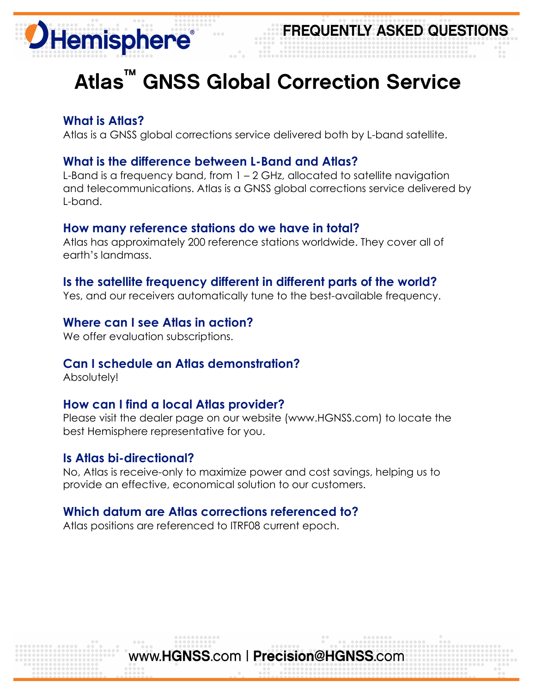

# Atlas™ GNSS Global Correction Service

#### **What is Atlas?**

Atlas is a GNSS global corrections service delivered both by L-band satellite.

#### **What is the difference between L-Band and Atlas?**

L-Band is a frequency band, from 1 – 2 GHz, allocated to satellite navigation and telecommunications. Atlas is a GNSS global corrections service delivered by L-band.

#### **How many reference stations do we have in total?**

Atlas has approximately 200 reference stations worldwide. They cover all of earth's landmass.

#### **Is the satellite frequency different in different parts of the world?**

Yes, and our receivers automatically tune to the best-available frequency.

#### **Where can I see Atlas in action?**

We offer evaluation subscriptions.

#### **Can I schedule an Atlas demonstration?**

Absolutely!

#### **How can I find a local Atlas provider?**

Please visit the dealer page on our website (www.HGNSS.com) to locate the best Hemisphere representative for you.

#### **Is Atlas bi-directional?**

No, Atlas is receive-only to maximize power and cost savings, helping us to provide an effective, economical solution to our customers.

#### **Which datum are Atlas corrections referenced to?**

Atlas positions are referenced to ITRF08 current epoch.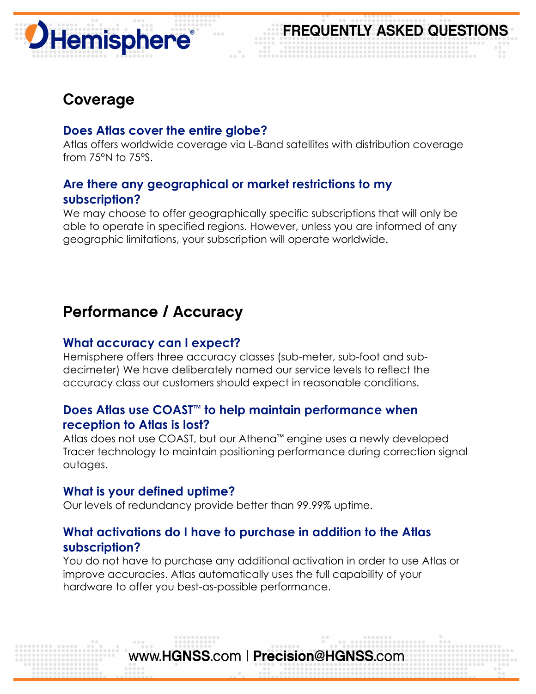

### Coverage

#### **Does Atlas cover the entire globe?**

Atlas offers worldwide coverage via L-Band satellites with distribution coverage from 75°N to 75°S.

#### **Are there any geographical or market restrictions to my subscription?**

We may choose to offer geographically specific subscriptions that will only be able to operate in specified regions. However, unless you are informed of any geographic limitations, your subscription will operate worldwide.

### Performance / Accuracy

#### **What accuracy can I expect?**

Hemisphere offers three accuracy classes (sub-meter, sub-foot and subdecimeter) We have deliberately named our service levels to reflect the accuracy class our customers should expect in reasonable conditions.

#### **Does Atlas use COAST™ to help maintain performance when reception to Atlas is lost?**

Atlas does not use COAST, but our Athena™ engine uses a newly developed Tracer technology to maintain positioning performance during correction signal outages.

#### **What is your defined uptime?**

Our levels of redundancy provide better than 99.99% uptime.

#### **What activations do I have to purchase in addition to the Atlas subscription?**

You do not have to purchase any additional activation in order to use Atlas or improve accuracies. Atlas automatically uses the full capability of your hardware to offer you best-as-possible performance.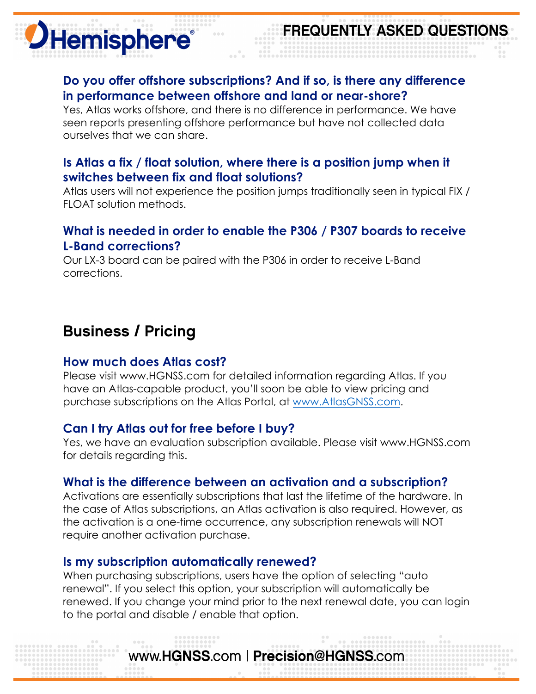

#### **Do you offer offshore subscriptions? And if so, is there any difference in performance between offshore and land or near-shore?**

Yes, Atlas works offshore, and there is no difference in performance. We have seen reports presenting offshore performance but have not collected data ourselves that we can share.

#### **Is Atlas a fix / float solution, where there is a position jump when it switches between fix and float solutions?**

Atlas users will not experience the position jumps traditionally seen in typical FIX / FLOAT solution methods.

#### **What is needed in order to enable the P306 / P307 boards to receive L-Band corrections?**

Our LX-3 board can be paired with the P306 in order to receive L-Band corrections.

### Business / Pricing

#### **How much does Atlas cost?**

Please visit www.HGNSS.com for detailed information regarding Atlas. If you have an Atlas-capable product, you'll soon be able to view pricing and purchase subscriptions on the Atlas Portal, at www.AtlasGNSS.com.

#### **Can I try Atlas out for free before I buy?**

Yes, we have an evaluation subscription available. Please visit www.HGNSS.com for details regarding this.

#### **What is the difference between an activation and a subscription?**

Activations are essentially subscriptions that last the lifetime of the hardware. In the case of Atlas subscriptions, an Atlas activation is also required. However, as the activation is a one-time occurrence, any subscription renewals will NOT require another activation purchase.

#### **Is my subscription automatically renewed?**

When purchasing subscriptions, users have the option of selecting "auto" renewal". If you select this option, your subscription will automatically be renewed. If you change your mind prior to the next renewal date, you can login to the portal and disable / enable that option.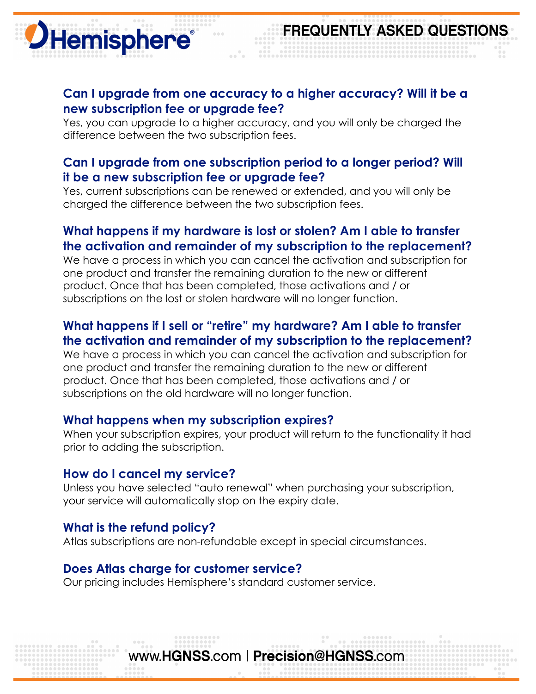

#### **Can I upgrade from one accuracy to a higher accuracy? Will it be a new subscription fee or upgrade fee?**

Yes, you can upgrade to a higher accuracy, and you will only be charged the difference between the two subscription fees.

#### **Can I upgrade from one subscription period to a longer period? Will it be a new subscription fee or upgrade fee?**

Yes, current subscriptions can be renewed or extended, and you will only be charged the difference between the two subscription fees.

#### **What happens if my hardware is lost or stolen? Am I able to transfer the activation and remainder of my subscription to the replacement?**

We have a process in which you can cancel the activation and subscription for one product and transfer the remaining duration to the new or different product. Once that has been completed, those activations and / or subscriptions on the lost or stolen hardware will no longer function.

#### **What happens if I sell or "retire" my hardware? Am I able to transfer the activation and remainder of my subscription to the replacement?**

We have a process in which you can cancel the activation and subscription for one product and transfer the remaining duration to the new or different product. Once that has been completed, those activations and / or subscriptions on the old hardware will no longer function.

#### **What happens when my subscription expires?**

When your subscription expires, your product will return to the functionality it had prior to adding the subscription.

#### **How do I cancel my service?**

Unless you have selected "auto renewal" when purchasing your subscription, your service will automatically stop on the expiry date.

#### **What is the refund policy?**

Atlas subscriptions are non-refundable except in special circumstances.

#### **Does Atlas charge for customer service?**

Our pricing includes Hemisphere's standard customer service.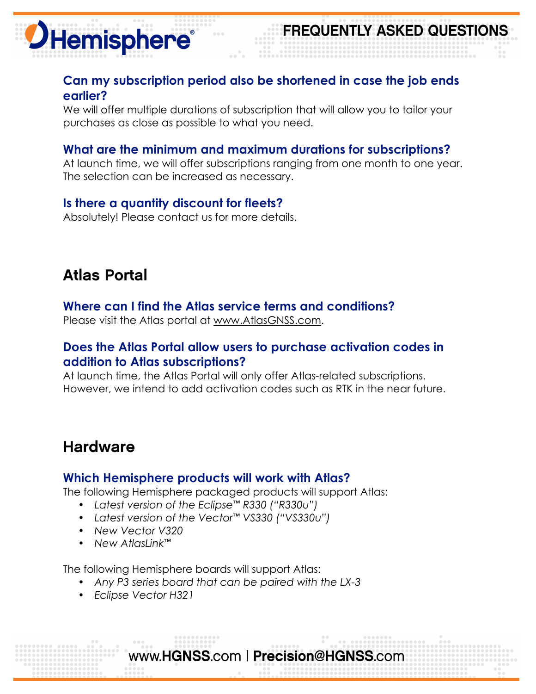#### **Can my subscription period also be shortened in case the job ends earlier?**

We will offer multiple durations of subscription that will allow you to tailor your purchases as close as possible to what you need.

#### **What are the minimum and maximum durations for subscriptions?**

At launch time, we will offer subscriptions ranging from one month to one year. The selection can be increased as necessary.

#### **Is there a quantity discount for fleets?**

Absolutely! Please contact us for more details.

### Atlas Portal

*OHemisphere* 

#### **Where can I find the Atlas service terms and conditions?**

Please visit the Atlas portal at www.AtlasGNSS.com.

#### **Does the Atlas Portal allow users to purchase activation codes in addition to Atlas subscriptions?**

At launch time, the Atlas Portal will only offer Atlas-related subscriptions. However, we intend to add activation codes such as RTK in the near future.

### Hardware

#### **Which Hemisphere products will work with Atlas?**

The following Hemisphere packaged products will support Atlas:

- *Latest version of the Eclipse™ R330 ("R330u")*
- *Latest version of the Vector™ VS330 ("VS330u")*
- *New Vector V320*
- *New AtlasLink™*

The following Hemisphere boards will support Atlas:

- *Any P3 series board that can be paired with the LX-3*
- *Eclipse Vector H321*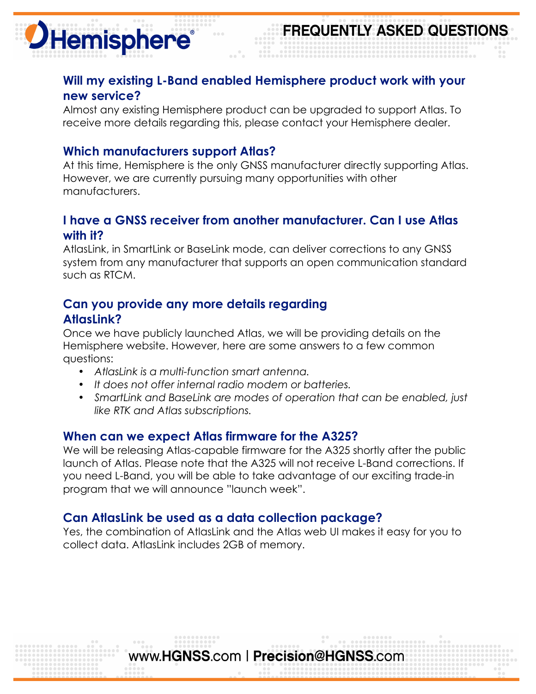#### **Will my existing L-Band enabled Hemisphere product work with your new service?**

Almost any existing Hemisphere product can be upgraded to support Atlas. To receive more details regarding this, please contact your Hemisphere dealer.

#### **Which manufacturers support Atlas?**

**OHemisphere®** 

At this time, Hemisphere is the only GNSS manufacturer directly supporting Atlas. However, we are currently pursuing many opportunities with other manufacturers.

#### **I have a GNSS receiver from another manufacturer. Can I use Atlas with it?**

AtlasLink, in SmartLink or BaseLink mode, can deliver corrections to any GNSS system from any manufacturer that supports an open communication standard such as RTCM.

#### **Can you provide any more details regarding AtlasLink?**

Once we have publicly launched Atlas, we will be providing details on the Hemisphere website. However, here are some answers to a few common questions:

- *AtlasLink is a multi-function smart antenna.*
- *It does not offer internal radio modem or batteries.*
- *SmartLink and BaseLink are modes of operation that can be enabled, just like RTK and Atlas subscriptions.*

#### **When can we expect Atlas firmware for the A325?**

We will be releasing Atlas-capable firmware for the A325 shortly after the public launch of Atlas. Please note that the A325 will not receive L-Band corrections. If you need L-Band, you will be able to take advantage of our exciting trade-in program that we will announce "launch week".

#### **Can AtlasLink be used as a data collection package?**

Yes, the combination of AtlasLink and the Atlas web UI makes it easy for you to collect data. AtlasLink includes 2GB of memory.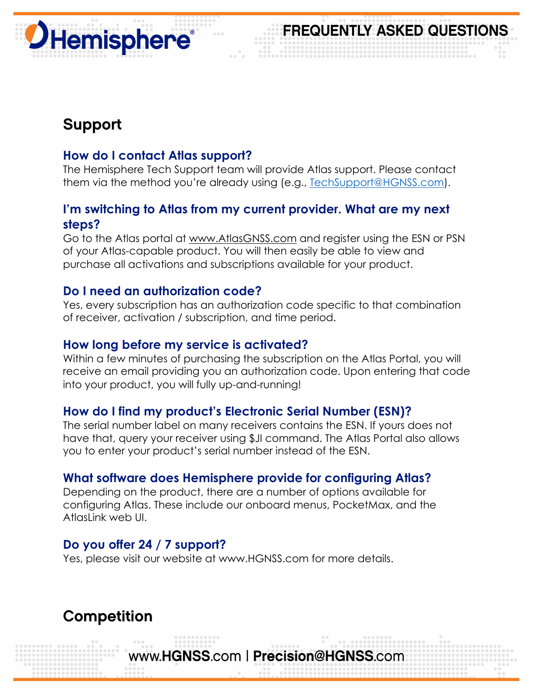

# Support

#### **How do I contact Atlas support?**

The Hemisphere Tech Support team will provide Atlas support. Please contact them via the method you're already using (e.g., TechSupport@HGNSS.com).

#### **I'm switching to Atlas from my current provider. What are my next steps?**

Go to the Atlas portal at www.AtlasGNSS.com and register using the ESN or PSN of your Atlas-capable product. You will then easily be able to view and purchase all activations and subscriptions available for your product.

#### **Do I need an authorization code?**

Yes, every subscription has an authorization code specific to that combination of receiver, activation / subscription, and time period.

#### **How long before my service is activated?**

Within a few minutes of purchasing the subscription on the Atlas Portal, you will receive an email providing you an authorization code. Upon entering that code into your product, you will fully up-and-running!

#### **How do I find my product's Electronic Serial Number (ESN)?**

The serial number label on many receivers contains the ESN. If yours does not have that, query your receiver using \$JI command. The Atlas Portal also allows you to enter your product's serial number instead of the ESN.

#### **What software does Hemisphere provide for configuring Atlas?**

Depending on the product, there are a number of options available for configuring Atlas. These include our onboard menus, PocketMax, and the AtlasLink web UL.

#### **Do you offer 24 / 7 support?**

Yes, please visit our website at www.HGNSS.com for more details.

## **Competition**